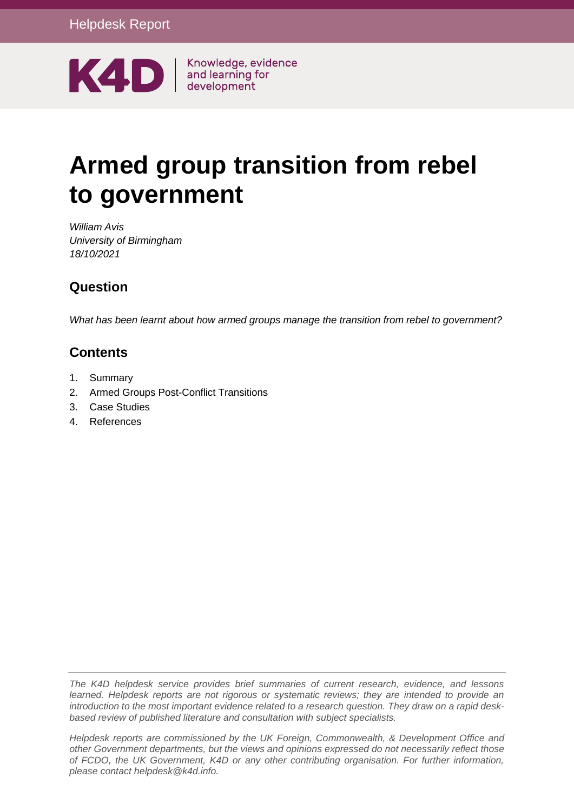

# **Armed group transition from rebel to government**

*William Avis University of Birmingham 18/10/2021*

# **Question**

*What has been learnt about how armed groups manage the transition from rebel to government?*

# **Contents**

- 1. [Summary](#page-1-0)
- 2. [Armed Groups Post-Conflict Transitions](#page-2-0)
- 3. [Case Studies](#page-8-0)
- 4. [References](#page-19-0)

*The K4D helpdesk service provides brief summaries of current research, evidence, and lessons learned. Helpdesk reports are not rigorous or systematic reviews; they are intended to provide an introduction to the most important evidence related to a research question. They draw on a rapid deskbased review of published literature and consultation with subject specialists.* 

*Helpdesk reports are commissioned by the UK Foreign, Commonwealth, & Development Office and other Government departments, but the views and opinions expressed do not necessarily reflect those of FCDO, the UK Government, K4D or any other contributing organisation. For further information, please contact helpdesk@k4d.info.*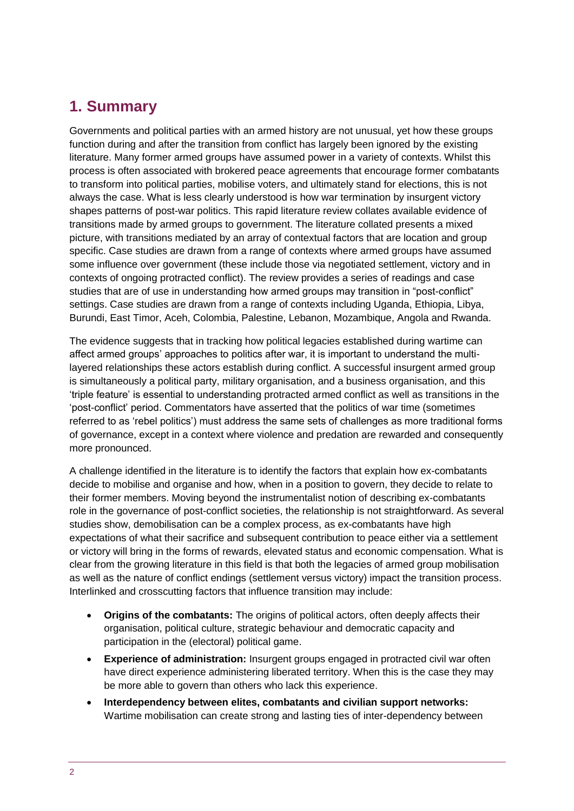# <span id="page-1-0"></span>**1. Summary**

Governments and political parties with an armed history are not unusual, yet how these groups function during and after the transition from conflict has largely been ignored by the existing literature. Many former armed groups have assumed power in a variety of contexts. Whilst this process is often associated with brokered peace agreements that encourage former combatants to transform into political parties, mobilise voters, and ultimately stand for elections, this is not always the case. What is less clearly understood is how war termination by insurgent victory shapes patterns of post-war politics. This rapid literature review collates available evidence of transitions made by armed groups to government. The literature collated presents a mixed picture, with transitions mediated by an array of contextual factors that are location and group specific. Case studies are drawn from a range of contexts where armed groups have assumed some influence over government (these include those via negotiated settlement, victory and in contexts of ongoing protracted conflict). The review provides a series of readings and case studies that are of use in understanding how armed groups may transition in "post-conflict" settings. Case studies are drawn from a range of contexts including Uganda, Ethiopia, Libya, Burundi, East Timor, Aceh, Colombia, Palestine, Lebanon, Mozambique, Angola and Rwanda.

The evidence suggests that in tracking how political legacies established during wartime can affect armed groups' approaches to politics after war, it is important to understand the multilayered relationships these actors establish during conflict. A successful insurgent armed group is simultaneously a political party, military organisation, and a business organisation, and this 'triple feature' is essential to understanding protracted armed conflict as well as transitions in the 'post-conflict' period. Commentators have asserted that the politics of war time (sometimes referred to as 'rebel politics') must address the same sets of challenges as more traditional forms of governance, except in a context where violence and predation are rewarded and consequently more pronounced.

A challenge identified in the literature is to identify the factors that explain how ex-combatants decide to mobilise and organise and how, when in a position to govern, they decide to relate to their former members. Moving beyond the instrumentalist notion of describing ex-combatants role in the governance of post-conflict societies, the relationship is not straightforward. As several studies show, demobilisation can be a complex process, as ex-combatants have high expectations of what their sacrifice and subsequent contribution to peace either via a settlement or victory will bring in the forms of rewards, elevated status and economic compensation. What is clear from the growing literature in this field is that both the legacies of armed group mobilisation as well as the nature of conflict endings (settlement versus victory) impact the transition process. Interlinked and crosscutting factors that influence transition may include:

- **Origins of the combatants:** The origins of political actors, often deeply affects their organisation, political culture, strategic behaviour and democratic capacity and participation in the (electoral) political game.
- **Experience of administration:** Insurgent groups engaged in protracted civil war often have direct experience administering liberated territory. When this is the case they may be more able to govern than others who lack this experience.
- **Interdependency between elites, combatants and civilian support networks:**  Wartime mobilisation can create strong and lasting ties of inter-dependency between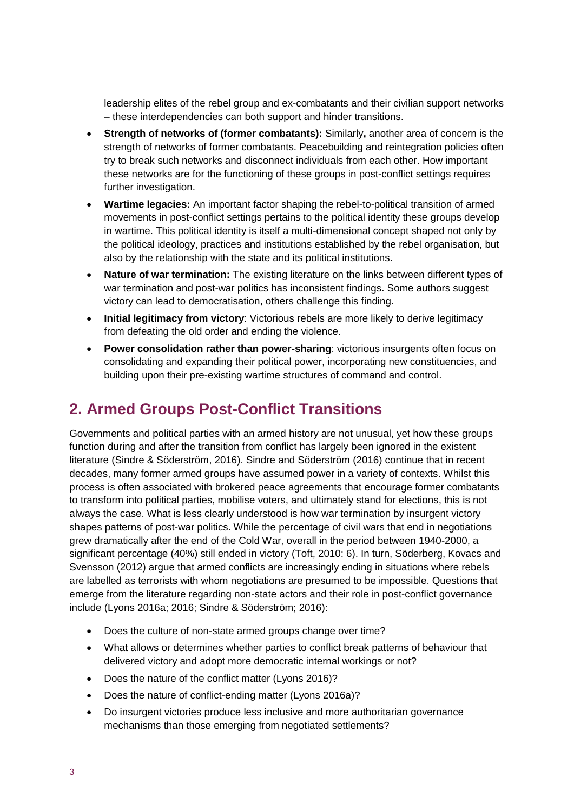leadership elites of the rebel group and ex-combatants and their civilian support networks – these interdependencies can both support and hinder transitions.

- **Strength of networks of (former combatants):** Similarly**,** another area of concern is the strength of networks of former combatants. Peacebuilding and reintegration policies often try to break such networks and disconnect individuals from each other. How important these networks are for the functioning of these groups in post-conflict settings requires further investigation.
- **Wartime legacies:** An important factor shaping the rebel-to-political transition of armed movements in post-conflict settings pertains to the political identity these groups develop in wartime. This political identity is itself a multi-dimensional concept shaped not only by the political ideology, practices and institutions established by the rebel organisation, but also by the relationship with the state and its political institutions.
- **Nature of war termination:** The existing literature on the links between different types of war termination and post-war politics has inconsistent findings. Some authors suggest victory can lead to democratisation, others challenge this finding.
- **Initial legitimacy from victory**: Victorious rebels are more likely to derive legitimacy from defeating the old order and ending the violence.
- **Power consolidation rather than power-sharing**: victorious insurgents often focus on consolidating and expanding their political power, incorporating new constituencies, and building upon their pre-existing wartime structures of command and control.

# <span id="page-2-0"></span>**2. Armed Groups Post-Conflict Transitions**

Governments and political parties with an armed history are not unusual, yet how these groups function during and after the transition from conflict has largely been ignored in the existent literature (Sindre & Söderström, 2016). Sindre and Söderström (2016) continue that in recent decades, many former armed groups have assumed power in a variety of contexts. Whilst this process is often associated with brokered peace agreements that encourage former combatants to transform into political parties, mobilise voters, and ultimately stand for elections, this is not always the case. What is less clearly understood is how war termination by insurgent victory shapes patterns of post-war politics. While the percentage of civil wars that end in negotiations grew dramatically after the end of the Cold War, overall in the period between 1940-2000, a significant percentage (40%) still ended in victory (Toft, 2010: 6). In turn, Söderberg, Kovacs and Svensson (2012) argue that armed conflicts are increasingly ending in situations where rebels are labelled as terrorists with whom negotiations are presumed to be impossible. Questions that emerge from the literature regarding non-state actors and their role in post-conflict governance include (Lyons 2016a; 2016; Sindre & Söderström; 2016):

- Does the culture of non-state armed groups change over time?
- What allows or determines whether parties to conflict break patterns of behaviour that delivered victory and adopt more democratic internal workings or not?
- Does the nature of the conflict matter (Lyons 2016)?
- Does the nature of conflict-ending matter (Lyons 2016a)?
- Do insurgent victories produce less inclusive and more authoritarian governance mechanisms than those emerging from negotiated settlements?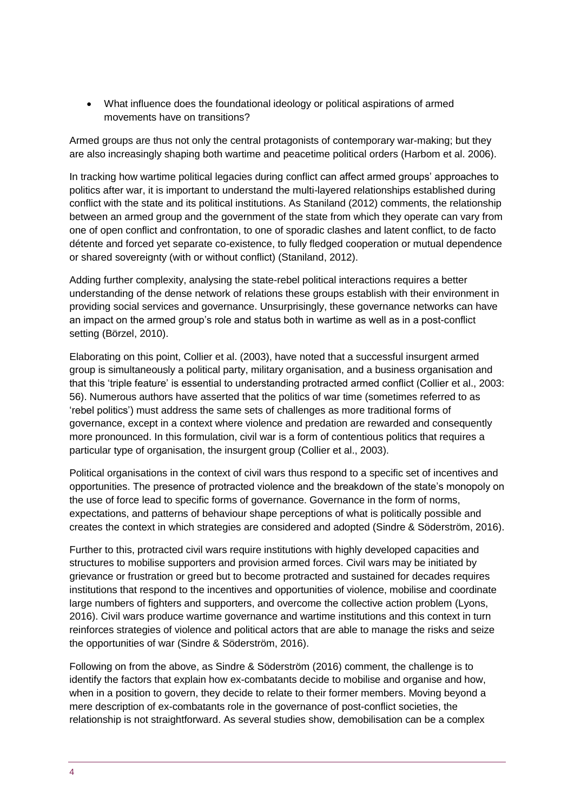What influence does the foundational ideology or political aspirations of armed movements have on transitions?

Armed groups are thus not only the central protagonists of contemporary war-making; but they are also increasingly shaping both wartime and peacetime political orders (Harbom et al. 2006).

In tracking how wartime political legacies during conflict can affect armed groups' approaches to politics after war, it is important to understand the multi-layered relationships established during conflict with the state and its political institutions. As Staniland (2012) comments, the relationship between an armed group and the government of the state from which they operate can vary from one of open conflict and confrontation, to one of sporadic clashes and latent conflict, to de facto détente and forced yet separate co-existence, to fully fledged cooperation or mutual dependence or shared sovereignty (with or without conflict) (Staniland, 2012).

Adding further complexity, analysing the state-rebel political interactions requires a better understanding of the dense network of relations these groups establish with their environment in providing social services and governance. Unsurprisingly, these governance networks can have an impact on the armed group's role and status both in wartime as well as in a post-conflict setting (Börzel, 2010).

Elaborating on this point, Collier et al. (2003), have noted that a successful insurgent armed group is simultaneously a political party, military organisation, and a business organisation and that this 'triple feature' is essential to understanding protracted armed conflict (Collier et al., 2003: 56). Numerous authors have asserted that the politics of war time (sometimes referred to as 'rebel politics') must address the same sets of challenges as more traditional forms of governance, except in a context where violence and predation are rewarded and consequently more pronounced. In this formulation, civil war is a form of contentious politics that requires a particular type of organisation, the insurgent group (Collier et al., 2003).

Political organisations in the context of civil wars thus respond to a specific set of incentives and opportunities. The presence of protracted violence and the breakdown of the state's monopoly on the use of force lead to specific forms of governance. Governance in the form of norms, expectations, and patterns of behaviour shape perceptions of what is politically possible and creates the context in which strategies are considered and adopted (Sindre & Söderström, 2016).

Further to this, protracted civil wars require institutions with highly developed capacities and structures to mobilise supporters and provision armed forces. Civil wars may be initiated by grievance or frustration or greed but to become protracted and sustained for decades requires institutions that respond to the incentives and opportunities of violence, mobilise and coordinate large numbers of fighters and supporters, and overcome the collective action problem (Lyons, 2016). Civil wars produce wartime governance and wartime institutions and this context in turn reinforces strategies of violence and political actors that are able to manage the risks and seize the opportunities of war (Sindre & Söderström, 2016).

Following on from the above, as Sindre & Söderström (2016) comment, the challenge is to identify the factors that explain how ex-combatants decide to mobilise and organise and how, when in a position to govern, they decide to relate to their former members. Moving beyond a mere description of ex-combatants role in the governance of post-conflict societies, the relationship is not straightforward. As several studies show, demobilisation can be a complex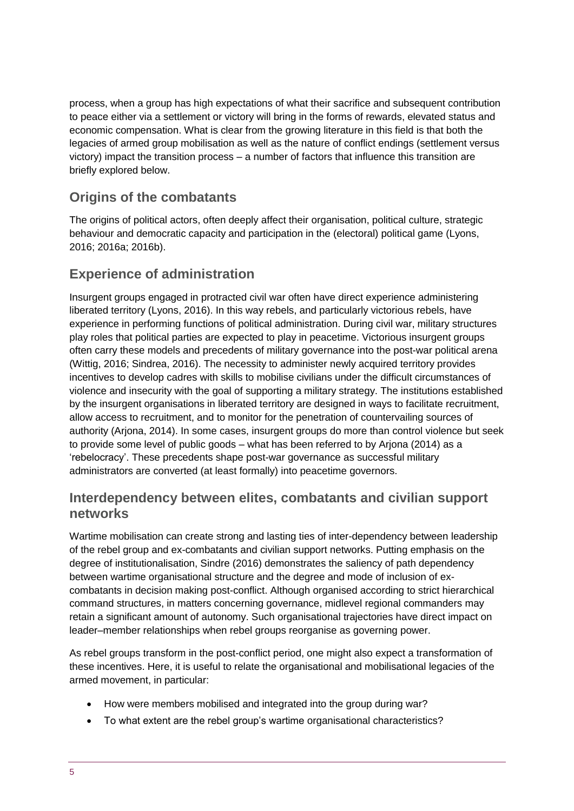process, when a group has high expectations of what their sacrifice and subsequent contribution to peace either via a settlement or victory will bring in the forms of rewards, elevated status and economic compensation. What is clear from the growing literature in this field is that both the legacies of armed group mobilisation as well as the nature of conflict endings (settlement versus victory) impact the transition process – a number of factors that influence this transition are briefly explored below.

# **Origins of the combatants**

The origins of political actors, often deeply affect their organisation, political culture, strategic behaviour and democratic capacity and participation in the (electoral) political game (Lyons, 2016; 2016a; 2016b).

### **Experience of administration**

Insurgent groups engaged in protracted civil war often have direct experience administering liberated territory (Lyons, 2016). In this way rebels, and particularly victorious rebels, have experience in performing functions of political administration. During civil war, military structures play roles that political parties are expected to play in peacetime. Victorious insurgent groups often carry these models and precedents of military governance into the post-war political arena (Wittig, 2016; Sindrea, 2016). The necessity to administer newly acquired territory provides incentives to develop cadres with skills to mobilise civilians under the difficult circumstances of violence and insecurity with the goal of supporting a military strategy. The institutions established by the insurgent organisations in liberated territory are designed in ways to facilitate recruitment, allow access to recruitment, and to monitor for the penetration of countervailing sources of authority (Arjona, 2014). In some cases, insurgent groups do more than control violence but seek to provide some level of public goods – what has been referred to by Arjona (2014) as a 'rebelocracy'. These precedents shape post-war governance as successful military administrators are converted (at least formally) into peacetime governors.

# **Interdependency between elites, combatants and civilian support networks**

Wartime mobilisation can create strong and lasting ties of inter-dependency between leadership of the rebel group and ex-combatants and civilian support networks. Putting emphasis on the degree of institutionalisation, Sindre (2016) demonstrates the saliency of path dependency between wartime organisational structure and the degree and mode of inclusion of excombatants in decision making post-conflict. Although organised according to strict hierarchical command structures, in matters concerning governance, midlevel regional commanders may retain a significant amount of autonomy. Such organisational trajectories have direct impact on leader–member relationships when rebel groups reorganise as governing power.

As rebel groups transform in the post-conflict period, one might also expect a transformation of these incentives. Here, it is useful to relate the organisational and mobilisational legacies of the armed movement, in particular:

- How were members mobilised and integrated into the group during war?
- To what extent are the rebel group's wartime organisational characteristics?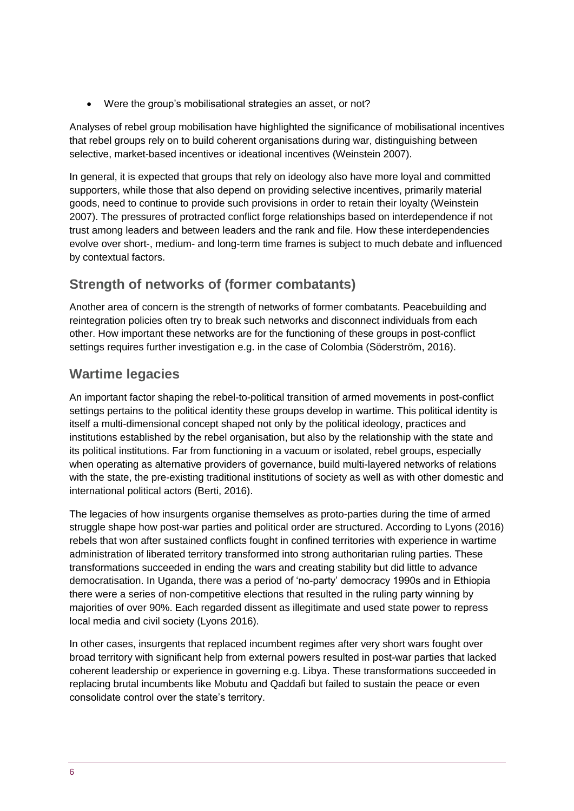Were the group's mobilisational strategies an asset, or not?

Analyses of rebel group mobilisation have highlighted the significance of mobilisational incentives that rebel groups rely on to build coherent organisations during war, distinguishing between selective, market-based incentives or ideational incentives (Weinstein 2007).

In general, it is expected that groups that rely on ideology also have more loyal and committed supporters, while those that also depend on providing selective incentives, primarily material goods, need to continue to provide such provisions in order to retain their loyalty (Weinstein 2007). The pressures of protracted conflict forge relationships based on interdependence if not trust among leaders and between leaders and the rank and file. How these interdependencies evolve over short-, medium- and long-term time frames is subject to much debate and influenced by contextual factors.

# **Strength of networks of (former combatants)**

Another area of concern is the strength of networks of former combatants. Peacebuilding and reintegration policies often try to break such networks and disconnect individuals from each other. How important these networks are for the functioning of these groups in post-conflict settings requires further investigation e.g. in the case of Colombia (Söderström, 2016).

# **Wartime legacies**

An important factor shaping the rebel-to-political transition of armed movements in post-conflict settings pertains to the political identity these groups develop in wartime. This political identity is itself a multi-dimensional concept shaped not only by the political ideology, practices and institutions established by the rebel organisation, but also by the relationship with the state and its political institutions. Far from functioning in a vacuum or isolated, rebel groups, especially when operating as alternative providers of governance, build multi-layered networks of relations with the state, the pre-existing traditional institutions of society as well as with other domestic and international political actors (Berti, 2016).

The legacies of how insurgents organise themselves as proto-parties during the time of armed struggle shape how post-war parties and political order are structured. According to Lyons (2016) rebels that won after sustained conflicts fought in confined territories with experience in wartime administration of liberated territory transformed into strong authoritarian ruling parties. These transformations succeeded in ending the wars and creating stability but did little to advance democratisation. In Uganda, there was a period of 'no-party' democracy 1990s and in Ethiopia there were a series of non-competitive elections that resulted in the ruling party winning by majorities of over 90%. Each regarded dissent as illegitimate and used state power to repress local media and civil society (Lyons 2016).

In other cases, insurgents that replaced incumbent regimes after very short wars fought over broad territory with significant help from external powers resulted in post-war parties that lacked coherent leadership or experience in governing e.g. Libya. These transformations succeeded in replacing brutal incumbents like Mobutu and Qaddafi but failed to sustain the peace or even consolidate control over the state's territory.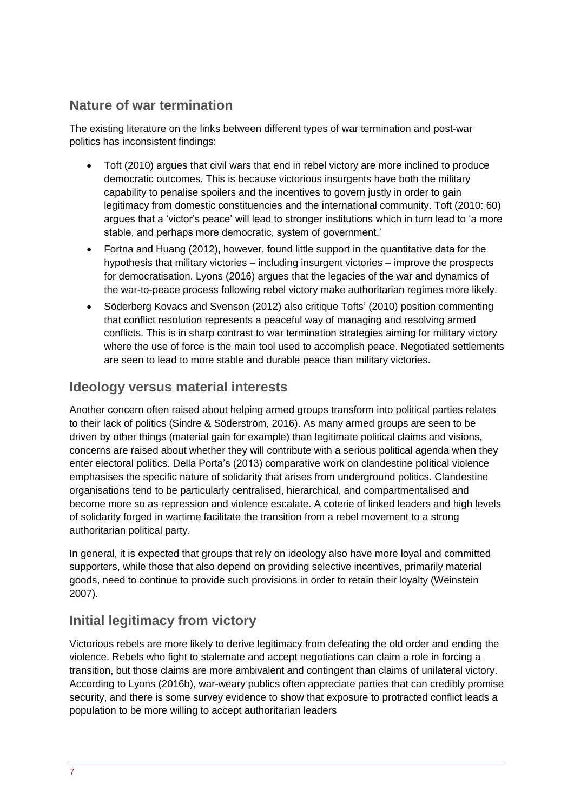# **Nature of war termination**

The existing literature on the links between different types of war termination and post-war politics has inconsistent findings:

- Toft (2010) argues that civil wars that end in rebel victory are more inclined to produce democratic outcomes. This is because victorious insurgents have both the military capability to penalise spoilers and the incentives to govern justly in order to gain legitimacy from domestic constituencies and the international community. Toft (2010: 60) argues that a 'victor's peace' will lead to stronger institutions which in turn lead to 'a more stable, and perhaps more democratic, system of government.'
- Fortna and Huang (2012), however, found little support in the quantitative data for the hypothesis that military victories – including insurgent victories – improve the prospects for democratisation. Lyons (2016) argues that the legacies of the war and dynamics of the war-to-peace process following rebel victory make authoritarian regimes more likely.
- Söderberg Kovacs and Svenson (2012) also critique Tofts' (2010) position commenting that conflict resolution represents a peaceful way of managing and resolving armed conflicts. This is in sharp contrast to war termination strategies aiming for military victory where the use of force is the main tool used to accomplish peace. Negotiated settlements are seen to lead to more stable and durable peace than military victories.

### **Ideology versus material interests**

Another concern often raised about helping armed groups transform into political parties relates to their lack of politics (Sindre & Söderström, 2016). As many armed groups are seen to be driven by other things (material gain for example) than legitimate political claims and visions, concerns are raised about whether they will contribute with a serious political agenda when they enter electoral politics. Della Porta's (2013) comparative work on clandestine political violence emphasises the specific nature of solidarity that arises from underground politics. Clandestine organisations tend to be particularly centralised, hierarchical, and compartmentalised and become more so as repression and violence escalate. A coterie of linked leaders and high levels of solidarity forged in wartime facilitate the transition from a rebel movement to a strong authoritarian political party.

In general, it is expected that groups that rely on ideology also have more loyal and committed supporters, while those that also depend on providing selective incentives, primarily material goods, need to continue to provide such provisions in order to retain their loyalty (Weinstein 2007).

# **Initial legitimacy from victory**

Victorious rebels are more likely to derive legitimacy from defeating the old order and ending the violence. Rebels who fight to stalemate and accept negotiations can claim a role in forcing a transition, but those claims are more ambivalent and contingent than claims of unilateral victory. According to Lyons (2016b), war-weary publics often appreciate parties that can credibly promise security, and there is some survey evidence to show that exposure to protracted conflict leads a population to be more willing to accept authoritarian leaders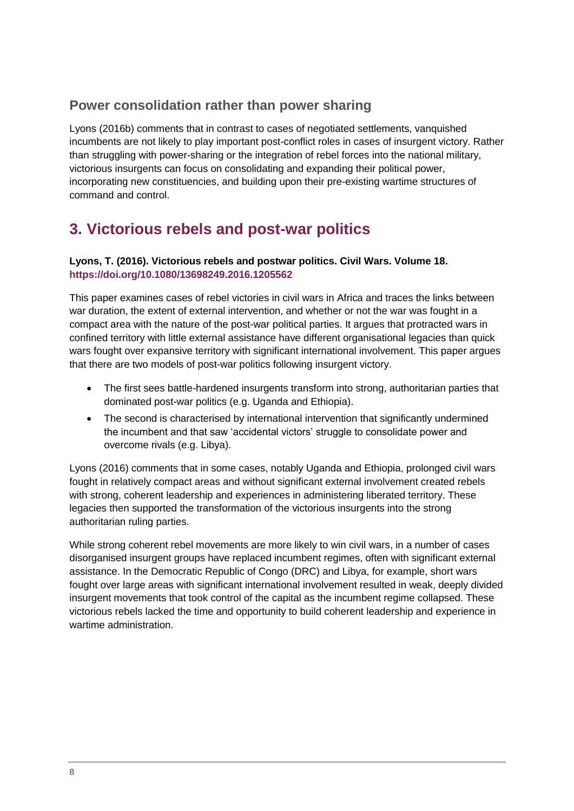# **Power consolidation rather than power sharing**

Lyons (2016b) comments that in contrast to cases of negotiated settlements, vanquished incumbents are not likely to play important post-conflict roles in cases of insurgent victory. Rather than struggling with power-sharing or the integration of rebel forces into the national military, victorious insurgents can focus on consolidating and expanding their political power, incorporating new constituencies, and building upon their pre-existing wartime structures of command and control.

# **3. Victorious rebels and post-war politics**

#### **Lyons, T. (2016). Victorious rebels and postwar politics. Civil Wars. Volume 18. <https://doi.org/10.1080/13698249.2016.1205562>**

This paper examines cases of rebel victories in civil wars in Africa and traces the links between war duration, the extent of external intervention, and whether or not the war was fought in a compact area with the nature of the post-war political parties. It argues that protracted wars in confined territory with little external assistance have different organisational legacies than quick wars fought over expansive territory with significant international involvement. This paper argues that there are two models of post-war politics following insurgent victory.

- The first sees battle-hardened insurgents transform into strong, authoritarian parties that dominated post-war politics (e.g. Uganda and Ethiopia).
- The second is characterised by international intervention that significantly undermined the incumbent and that saw 'accidental victors' struggle to consolidate power and overcome rivals (e.g. Libya).

Lyons (2016) comments that in some cases, notably Uganda and Ethiopia, prolonged civil wars fought in relatively compact areas and without significant external involvement created rebels with strong, coherent leadership and experiences in administering liberated territory. These legacies then supported the transformation of the victorious insurgents into the strong authoritarian ruling parties.

While strong coherent rebel movements are more likely to win civil wars, in a number of cases disorganised insurgent groups have replaced incumbent regimes, often with significant external assistance. In the Democratic Republic of Congo (DRC) and Libya, for example, short wars fought over large areas with significant international involvement resulted in weak, deeply divided insurgent movements that took control of the capital as the incumbent regime collapsed. These victorious rebels lacked the time and opportunity to build coherent leadership and experience in wartime administration.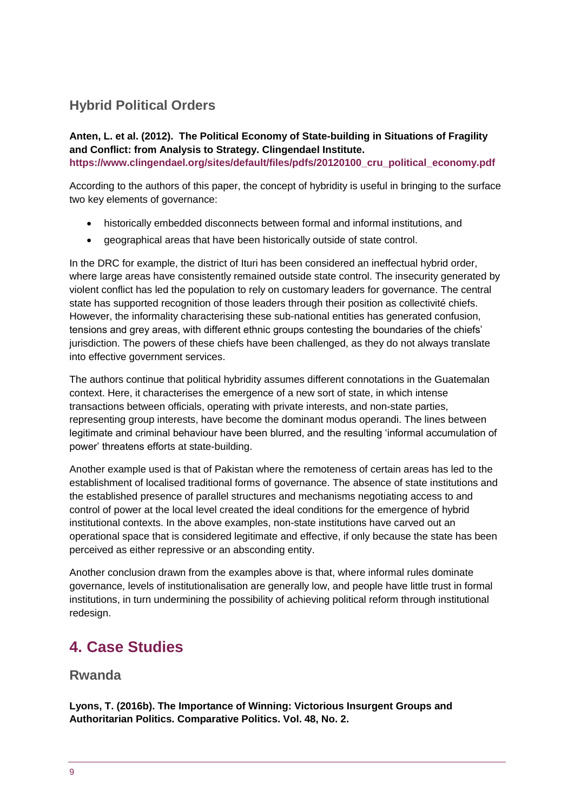# **Hybrid Political Orders**

**Anten, L. et al. (2012). The Political Economy of State-building in Situations of Fragility and Conflict: from Analysis to Strategy. Clingendael Institute. [https://www.clingendael.org/sites/default/files/pdfs/20120100\\_cru\\_political\\_economy.pdf](https://www.clingendael.org/sites/default/files/pdfs/20120100_cru_political_economy.pdf)**

According to the authors of this paper, the concept of hybridity is useful in bringing to the surface two key elements of governance:

- historically embedded disconnects between formal and informal institutions, and
- geographical areas that have been historically outside of state control.

In the DRC for example, the district of Ituri has been considered an ineffectual hybrid order, where large areas have consistently remained outside state control. The insecurity generated by violent conflict has led the population to rely on customary leaders for governance. The central state has supported recognition of those leaders through their position as collectivité chiefs. However, the informality characterising these sub-national entities has generated confusion, tensions and grey areas, with different ethnic groups contesting the boundaries of the chiefs' jurisdiction. The powers of these chiefs have been challenged, as they do not always translate into effective government services.

The authors continue that political hybridity assumes different connotations in the Guatemalan context. Here, it characterises the emergence of a new sort of state, in which intense transactions between officials, operating with private interests, and non-state parties, representing group interests, have become the dominant modus operandi. The lines between legitimate and criminal behaviour have been blurred, and the resulting 'informal accumulation of power' threatens efforts at state-building.

Another example used is that of Pakistan where the remoteness of certain areas has led to the establishment of localised traditional forms of governance. The absence of state institutions and the established presence of parallel structures and mechanisms negotiating access to and control of power at the local level created the ideal conditions for the emergence of hybrid institutional contexts. In the above examples, non-state institutions have carved out an operational space that is considered legitimate and effective, if only because the state has been perceived as either repressive or an absconding entity.

Another conclusion drawn from the examples above is that, where informal rules dominate governance, levels of institutionalisation are generally low, and people have little trust in formal institutions, in turn undermining the possibility of achieving political reform through institutional redesign.

# <span id="page-8-0"></span>**4. Case Studies**

#### **Rwanda**

**Lyons, T. (2016b). The Importance of Winning: Victorious Insurgent Groups and Authoritarian Politics. Comparative Politics. Vol. 48, No. 2.**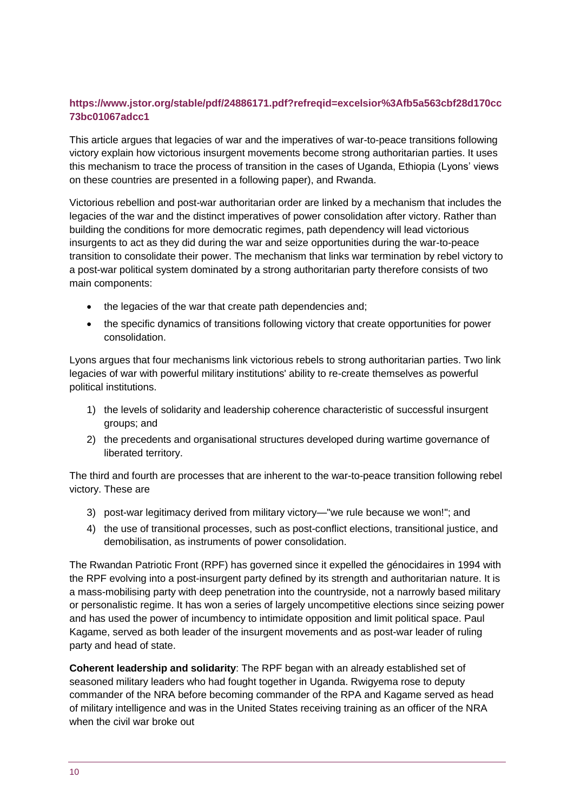#### **[https://www.jstor.org/stable/pdf/24886171.pdf?refreqid=excelsior%3Afb5a563cbf28d170cc](https://www.jstor.org/stable/pdf/24886171.pdf?refreqid=excelsior%3Afb5a563cbf28d170cc73bc01067adcc1) [73bc01067adcc1](https://www.jstor.org/stable/pdf/24886171.pdf?refreqid=excelsior%3Afb5a563cbf28d170cc73bc01067adcc1)**

This article argues that legacies of war and the imperatives of war-to-peace transitions following victory explain how victorious insurgent movements become strong authoritarian parties. It uses this mechanism to trace the process of transition in the cases of Uganda, Ethiopia (Lyons' views on these countries are presented in a following paper), and Rwanda.

Victorious rebellion and post-war authoritarian order are linked by a mechanism that includes the legacies of the war and the distinct imperatives of power consolidation after victory. Rather than building the conditions for more democratic regimes, path dependency will lead victorious insurgents to act as they did during the war and seize opportunities during the war-to-peace transition to consolidate their power. The mechanism that links war termination by rebel victory to a post-war political system dominated by a strong authoritarian party therefore consists of two main components:

- the legacies of the war that create path dependencies and;
- the specific dynamics of transitions following victory that create opportunities for power consolidation.

Lyons argues that four mechanisms link victorious rebels to strong authoritarian parties. Two link legacies of war with powerful military institutions' ability to re-create themselves as powerful political institutions.

- 1) the levels of solidarity and leadership coherence characteristic of successful insurgent groups; and
- 2) the precedents and organisational structures developed during wartime governance of liberated territory.

The third and fourth are processes that are inherent to the war-to-peace transition following rebel victory. These are

- 3) post-war legitimacy derived from military victory—"we rule because we won!"; and
- 4) the use of transitional processes, such as post-conflict elections, transitional justice, and demobilisation, as instruments of power consolidation.

The Rwandan Patriotic Front (RPF) has governed since it expelled the génocidaires in 1994 with the RPF evolving into a post-insurgent party defined by its strength and authoritarian nature. It is a mass-mobilising party with deep penetration into the countryside, not a narrowly based military or personalistic regime. It has won a series of largely uncompetitive elections since seizing power and has used the power of incumbency to intimidate opposition and limit political space. Paul Kagame, served as both leader of the insurgent movements and as post-war leader of ruling party and head of state.

**Coherent leadership and solidarity**: The RPF began with an already established set of seasoned military leaders who had fought together in Uganda. Rwigyema rose to deputy commander of the NRA before becoming commander of the RPA and Kagame served as head of military intelligence and was in the United States receiving training as an officer of the NRA when the civil war broke out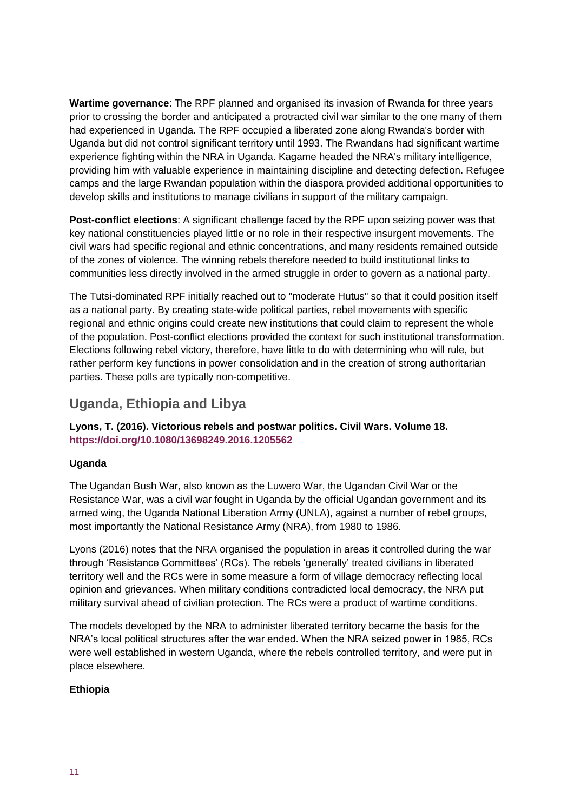**Wartime governance**: The RPF planned and organised its invasion of Rwanda for three years prior to crossing the border and anticipated a protracted civil war similar to the one many of them had experienced in Uganda. The RPF occupied a liberated zone along Rwanda's border with Uganda but did not control significant territory until 1993. The Rwandans had significant wartime experience fighting within the NRA in Uganda. Kagame headed the NRA's military intelligence, providing him with valuable experience in maintaining discipline and detecting defection. Refugee camps and the large Rwandan population within the diaspora provided additional opportunities to develop skills and institutions to manage civilians in support of the military campaign.

**Post-conflict elections**: A significant challenge faced by the RPF upon seizing power was that key national constituencies played little or no role in their respective insurgent movements. The civil wars had specific regional and ethnic concentrations, and many residents remained outside of the zones of violence. The winning rebels therefore needed to build institutional links to communities less directly involved in the armed struggle in order to govern as a national party.

The Tutsi-dominated RPF initially reached out to "moderate Hutus" so that it could position itself as a national party. By creating state-wide political parties, rebel movements with specific regional and ethnic origins could create new institutions that could claim to represent the whole of the population. Post-conflict elections provided the context for such institutional transformation. Elections following rebel victory, therefore, have little to do with determining who will rule, but rather perform key functions in power consolidation and in the creation of strong authoritarian parties. These polls are typically non-competitive.

# **Uganda, Ethiopia and Libya**

**Lyons, T. (2016). Victorious rebels and postwar politics. Civil Wars. Volume 18. <https://doi.org/10.1080/13698249.2016.1205562>**

#### **Uganda**

The Ugandan Bush War, also known as the Luwero War, the Ugandan Civil War or the Resistance War, was a civil war fought in Uganda by the official Ugandan government and its armed wing, the Uganda National Liberation Army (UNLA), against a number of rebel groups, most importantly the National Resistance Army (NRA), from 1980 to 1986.

Lyons (2016) notes that the NRA organised the population in areas it controlled during the war through 'Resistance Committees' (RCs). The rebels 'generally' treated civilians in liberated territory well and the RCs were in some measure a form of village democracy reflecting local opinion and grievances. When military conditions contradicted local democracy, the NRA put military survival ahead of civilian protection. The RCs were a product of wartime conditions.

The models developed by the NRA to administer liberated territory became the basis for the NRA's local political structures after the war ended. When the NRA seized power in 1985, RCs were well established in western Uganda, where the rebels controlled territory, and were put in place elsewhere.

#### **Ethiopia**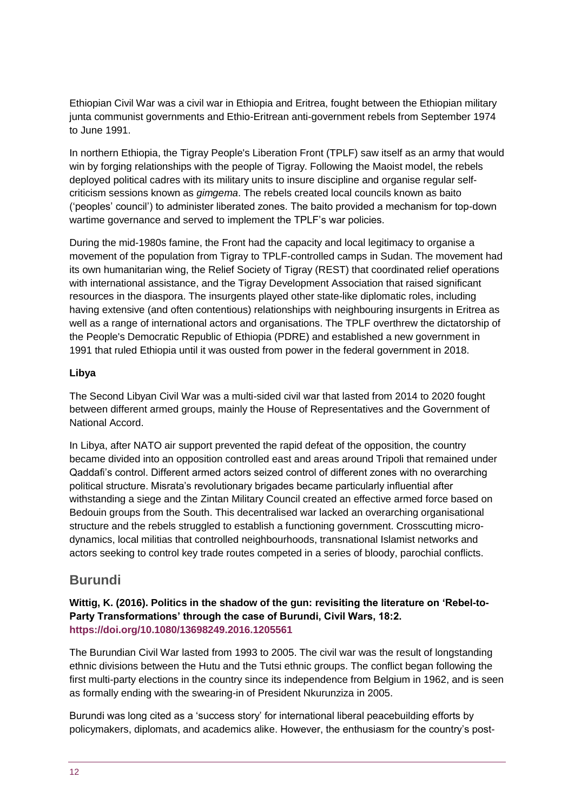Ethiopian Civil War was a civil war in Ethiopia and Eritrea, fought between the Ethiopian military junta communist governments and Ethio-Eritrean anti-government rebels from September 1974 to June 1991.

In northern Ethiopia, the Tigray People's Liberation Front (TPLF) saw itself as an army that would win by forging relationships with the people of Tigray. Following the Maoist model, the rebels deployed political cadres with its military units to insure discipline and organise regular selfcriticism sessions known as *gimgema*. The rebels created local councils known as baito ('peoples' council') to administer liberated zones. The baito provided a mechanism for top-down wartime governance and served to implement the TPLF's war policies.

During the mid-1980s famine, the Front had the capacity and local legitimacy to organise a movement of the population from Tigray to TPLF-controlled camps in Sudan. The movement had its own humanitarian wing, the Relief Society of Tigray (REST) that coordinated relief operations with international assistance, and the Tigray Development Association that raised significant resources in the diaspora. The insurgents played other state-like diplomatic roles, including having extensive (and often contentious) relationships with neighbouring insurgents in Eritrea as well as a range of international actors and organisations. The TPLF overthrew the dictatorship of the People's Democratic Republic of Ethiopia (PDRE) and established a new government in 1991 that ruled Ethiopia until it was ousted from power in the federal government in 2018.

#### **Libya**

The Second Libyan Civil War was a multi-sided civil war that lasted from 2014 to 2020 fought between different armed groups, mainly the House of Representatives and the Government of National Accord.

In Libya, after NATO air support prevented the rapid defeat of the opposition, the country became divided into an opposition controlled east and areas around Tripoli that remained under Qaddafi's control. Different armed actors seized control of different zones with no overarching political structure. Misrata's revolutionary brigades became particularly influential after withstanding a siege and the Zintan Military Council created an effective armed force based on Bedouin groups from the South. This decentralised war lacked an overarching organisational structure and the rebels struggled to establish a functioning government. Crosscutting microdynamics, local militias that controlled neighbourhoods, transnational Islamist networks and actors seeking to control key trade routes competed in a series of bloody, parochial conflicts.

#### **Burundi**

**Wittig, K. (2016). Politics in the shadow of the gun: revisiting the literature on 'Rebel-to-Party Transformations' through the case of Burundi, Civil Wars, 18:2. <https://doi.org/10.1080/13698249.2016.1205561>**

The Burundian Civil War lasted from 1993 to 2005. The civil war was the result of longstanding ethnic divisions between the Hutu and the Tutsi ethnic groups. The conflict began following the first multi-party elections in the country since its independence from Belgium in 1962, and is seen as formally ending with the swearing-in of President Nkurunziza in 2005.

Burundi was long cited as a 'success story' for international liberal peacebuilding efforts by policymakers, diplomats, and academics alike. However, the enthusiasm for the country's post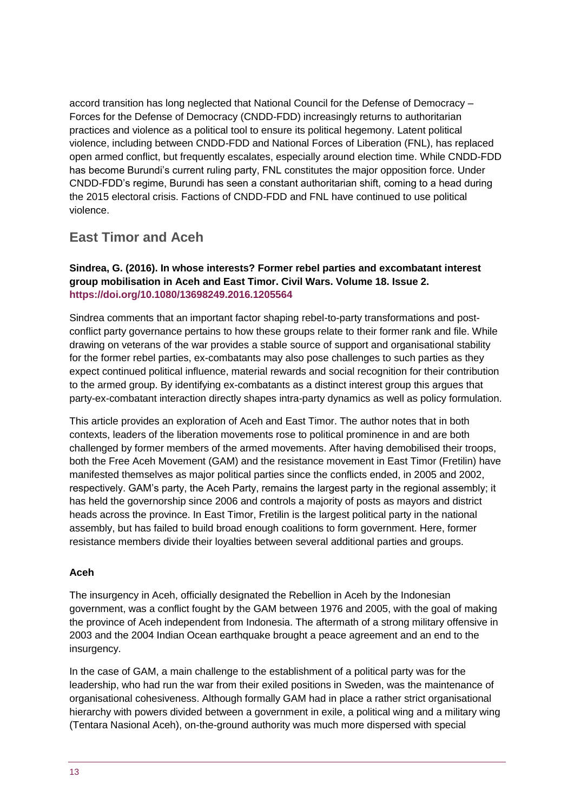accord transition has long neglected that National Council for the Defense of Democracy – Forces for the Defense of Democracy (CNDD-FDD) increasingly returns to authoritarian practices and violence as a political tool to ensure its political hegemony. Latent political violence, including between CNDD-FDD and National Forces of Liberation (FNL), has replaced open armed conflict, but frequently escalates, especially around election time. While CNDD-FDD has become Burundi's current ruling party, FNL constitutes the major opposition force. Under CNDD-FDD's regime, Burundi has seen a constant authoritarian shift, coming to a head during the 2015 electoral crisis. Factions of CNDD-FDD and FNL have continued to use political violence.

### **East Timor and Aceh**

#### **Sindrea, G. (2016). In whose interests? Former rebel parties and excombatant interest group mobilisation in Aceh and East Timor. Civil Wars. Volume 18. Issue 2. <https://doi.org/10.1080/13698249.2016.1205564>**

Sindrea comments that an important factor shaping rebel-to-party transformations and postconflict party governance pertains to how these groups relate to their former rank and file. While drawing on veterans of the war provides a stable source of support and organisational stability for the former rebel parties, ex-combatants may also pose challenges to such parties as they expect continued political influence, material rewards and social recognition for their contribution to the armed group. By identifying ex-combatants as a distinct interest group this argues that party-ex-combatant interaction directly shapes intra-party dynamics as well as policy formulation.

This article provides an exploration of Aceh and East Timor. The author notes that in both contexts, leaders of the liberation movements rose to political prominence in and are both challenged by former members of the armed movements. After having demobilised their troops, both the Free Aceh Movement (GAM) and the resistance movement in East Timor (Fretilin) have manifested themselves as major political parties since the conflicts ended, in 2005 and 2002, respectively. GAM's party, the Aceh Party, remains the largest party in the regional assembly; it has held the governorship since 2006 and controls a majority of posts as mayors and district heads across the province. In East Timor, Fretilin is the largest political party in the national assembly, but has failed to build broad enough coalitions to form government. Here, former resistance members divide their loyalties between several additional parties and groups.

#### **Aceh**

The insurgency in Aceh, officially designated the Rebellion in Aceh by the Indonesian government, was a conflict fought by the GAM between 1976 and 2005, with the goal of making the province of Aceh independent from Indonesia. The aftermath of a strong military offensive in 2003 and the 2004 Indian Ocean earthquake brought a peace agreement and an end to the insurgency.

In the case of GAM, a main challenge to the establishment of a political party was for the leadership, who had run the war from their exiled positions in Sweden, was the maintenance of organisational cohesiveness. Although formally GAM had in place a rather strict organisational hierarchy with powers divided between a government in exile, a political wing and a military wing (Tentara Nasional Aceh), on-the-ground authority was much more dispersed with special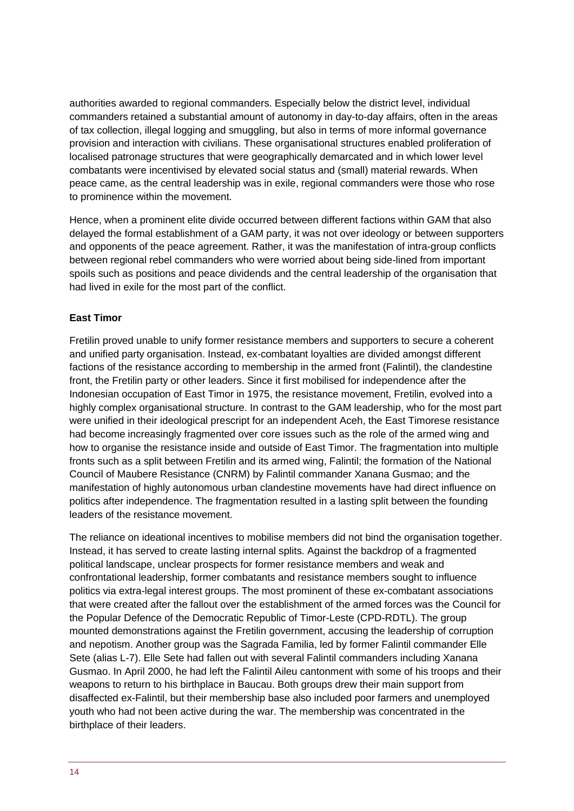authorities awarded to regional commanders. Especially below the district level, individual commanders retained a substantial amount of autonomy in day-to-day affairs, often in the areas of tax collection, illegal logging and smuggling, but also in terms of more informal governance provision and interaction with civilians. These organisational structures enabled proliferation of localised patronage structures that were geographically demarcated and in which lower level combatants were incentivised by elevated social status and (small) material rewards. When peace came, as the central leadership was in exile, regional commanders were those who rose to prominence within the movement.

Hence, when a prominent elite divide occurred between different factions within GAM that also delayed the formal establishment of a GAM party, it was not over ideology or between supporters and opponents of the peace agreement. Rather, it was the manifestation of intra-group conflicts between regional rebel commanders who were worried about being side-lined from important spoils such as positions and peace dividends and the central leadership of the organisation that had lived in exile for the most part of the conflict.

#### **East Timor**

Fretilin proved unable to unify former resistance members and supporters to secure a coherent and unified party organisation. Instead, ex-combatant loyalties are divided amongst different factions of the resistance according to membership in the armed front (Falintil), the clandestine front, the Fretilin party or other leaders. Since it first mobilised for independence after the Indonesian occupation of East Timor in 1975, the resistance movement, Fretilin, evolved into a highly complex organisational structure. In contrast to the GAM leadership, who for the most part were unified in their ideological prescript for an independent Aceh, the East Timorese resistance had become increasingly fragmented over core issues such as the role of the armed wing and how to organise the resistance inside and outside of East Timor. The fragmentation into multiple fronts such as a split between Fretilin and its armed wing, Falintil; the formation of the National Council of Maubere Resistance (CNRM) by Falintil commander Xanana Gusmao; and the manifestation of highly autonomous urban clandestine movements have had direct influence on politics after independence. The fragmentation resulted in a lasting split between the founding leaders of the resistance movement.

The reliance on ideational incentives to mobilise members did not bind the organisation together. Instead, it has served to create lasting internal splits. Against the backdrop of a fragmented political landscape, unclear prospects for former resistance members and weak and confrontational leadership, former combatants and resistance members sought to influence politics via extra-legal interest groups. The most prominent of these ex-combatant associations that were created after the fallout over the establishment of the armed forces was the Council for the Popular Defence of the Democratic Republic of Timor-Leste (CPD-RDTL). The group mounted demonstrations against the Fretilin government, accusing the leadership of corruption and nepotism. Another group was the Sagrada Familia, led by former Falintil commander Elle Sete (alias L-7). Elle Sete had fallen out with several Falintil commanders including Xanana Gusmao. In April 2000, he had left the Falintil Aileu cantonment with some of his troops and their weapons to return to his birthplace in Baucau. Both groups drew their main support from disaffected ex-Falintil, but their membership base also included poor farmers and unemployed youth who had not been active during the war. The membership was concentrated in the birthplace of their leaders.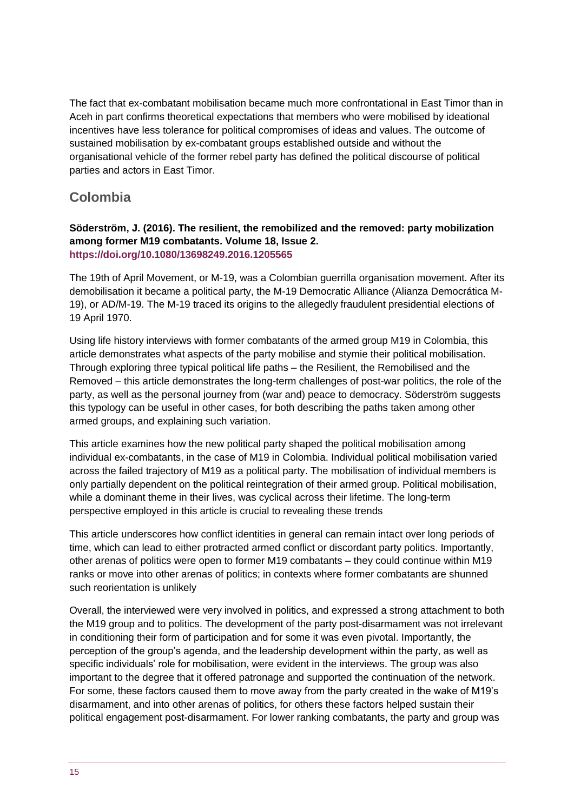The fact that ex-combatant mobilisation became much more confrontational in East Timor than in Aceh in part confirms theoretical expectations that members who were mobilised by ideational incentives have less tolerance for political compromises of ideas and values. The outcome of sustained mobilisation by ex-combatant groups established outside and without the organisational vehicle of the former rebel party has defined the political discourse of political parties and actors in East Timor.

### **Colombia**

#### **Söderström, J. (2016). The resilient, the remobilized and the removed: party mobilization among former M19 combatants. Volume 18, Issue 2. <https://doi.org/10.1080/13698249.2016.1205565>**

The 19th of April Movement, or M-19, was a Colombian guerrilla organisation movement. After its demobilisation it became a political party, the M-19 Democratic Alliance (Alianza Democrática M-19), or AD/M-19. The M-19 traced its origins to the allegedly fraudulent presidential elections of 19 April 1970.

Using life history interviews with former combatants of the armed group M19 in Colombia, this article demonstrates what aspects of the party mobilise and stymie their political mobilisation. Through exploring three typical political life paths – the Resilient, the Remobilised and the Removed – this article demonstrates the long-term challenges of post-war politics, the role of the party, as well as the personal journey from (war and) peace to democracy. Söderström suggests this typology can be useful in other cases, for both describing the paths taken among other armed groups, and explaining such variation.

This article examines how the new political party shaped the political mobilisation among individual ex-combatants, in the case of M19 in Colombia. Individual political mobilisation varied across the failed trajectory of M19 as a political party. The mobilisation of individual members is only partially dependent on the political reintegration of their armed group. Political mobilisation, while a dominant theme in their lives, was cyclical across their lifetime. The long-term perspective employed in this article is crucial to revealing these trends

This article underscores how conflict identities in general can remain intact over long periods of time, which can lead to either protracted armed conflict or discordant party politics. Importantly, other arenas of politics were open to former M19 combatants – they could continue within M19 ranks or move into other arenas of politics; in contexts where former combatants are shunned such reorientation is unlikely

Overall, the interviewed were very involved in politics, and expressed a strong attachment to both the M19 group and to politics. The development of the party post-disarmament was not irrelevant in conditioning their form of participation and for some it was even pivotal. Importantly, the perception of the group's agenda, and the leadership development within the party, as well as specific individuals' role for mobilisation, were evident in the interviews. The group was also important to the degree that it offered patronage and supported the continuation of the network. For some, these factors caused them to move away from the party created in the wake of M19's disarmament, and into other arenas of politics, for others these factors helped sustain their political engagement post-disarmament. For lower ranking combatants, the party and group was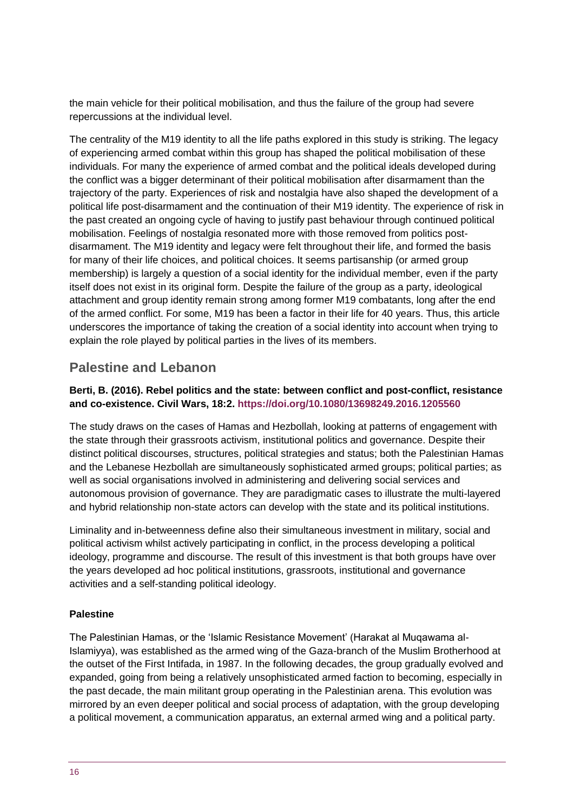the main vehicle for their political mobilisation, and thus the failure of the group had severe repercussions at the individual level.

The centrality of the M19 identity to all the life paths explored in this study is striking. The legacy of experiencing armed combat within this group has shaped the political mobilisation of these individuals. For many the experience of armed combat and the political ideals developed during the conflict was a bigger determinant of their political mobilisation after disarmament than the trajectory of the party. Experiences of risk and nostalgia have also shaped the development of a political life post-disarmament and the continuation of their M19 identity. The experience of risk in the past created an ongoing cycle of having to justify past behaviour through continued political mobilisation. Feelings of nostalgia resonated more with those removed from politics postdisarmament. The M19 identity and legacy were felt throughout their life, and formed the basis for many of their life choices, and political choices. It seems partisanship (or armed group membership) is largely a question of a social identity for the individual member, even if the party itself does not exist in its original form. Despite the failure of the group as a party, ideological attachment and group identity remain strong among former M19 combatants, long after the end of the armed conflict. For some, M19 has been a factor in their life for 40 years. Thus, this article underscores the importance of taking the creation of a social identity into account when trying to explain the role played by political parties in the lives of its members.

### **Palestine and Lebanon**

#### **Berti, B. (2016). Rebel politics and the state: between conflict and post-conflict, resistance and co-existence. Civil Wars, 18:2.<https://doi.org/10.1080/13698249.2016.1205560>**

The study draws on the cases of Hamas and Hezbollah, looking at patterns of engagement with the state through their grassroots activism, institutional politics and governance. Despite their distinct political discourses, structures, political strategies and status; both the Palestinian Hamas and the Lebanese Hezbollah are simultaneously sophisticated armed groups; political parties; as well as social organisations involved in administering and delivering social services and autonomous provision of governance. They are paradigmatic cases to illustrate the multi-layered and hybrid relationship non-state actors can develop with the state and its political institutions.

Liminality and in-betweenness define also their simultaneous investment in military, social and political activism whilst actively participating in conflict, in the process developing a political ideology, programme and discourse. The result of this investment is that both groups have over the years developed ad hoc political institutions, grassroots, institutional and governance activities and a self-standing political ideology.

#### **Palestine**

The Palestinian Hamas, or the 'Islamic Resistance Movement' (Harakat al Muqawama al-Islamiyya), was established as the armed wing of the Gaza-branch of the Muslim Brotherhood at the outset of the First Intifada, in 1987. In the following decades, the group gradually evolved and expanded, going from being a relatively unsophisticated armed faction to becoming, especially in the past decade, the main militant group operating in the Palestinian arena. This evolution was mirrored by an even deeper political and social process of adaptation, with the group developing a political movement, a communication apparatus, an external armed wing and a political party.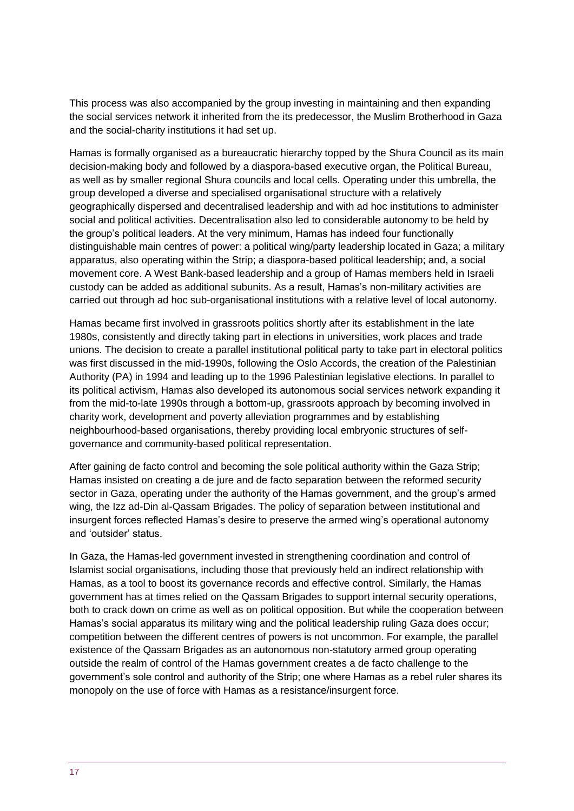This process was also accompanied by the group investing in maintaining and then expanding the social services network it inherited from the its predecessor, the Muslim Brotherhood in Gaza and the social-charity institutions it had set up.

Hamas is formally organised as a bureaucratic hierarchy topped by the Shura Council as its main decision-making body and followed by a diaspora-based executive organ, the Political Bureau, as well as by smaller regional Shura councils and local cells. Operating under this umbrella, the group developed a diverse and specialised organisational structure with a relatively geographically dispersed and decentralised leadership and with ad hoc institutions to administer social and political activities. Decentralisation also led to considerable autonomy to be held by the group's political leaders. At the very minimum, Hamas has indeed four functionally distinguishable main centres of power: a political wing/party leadership located in Gaza; a military apparatus, also operating within the Strip; a diaspora-based political leadership; and, a social movement core. A West Bank-based leadership and a group of Hamas members held in Israeli custody can be added as additional subunits. As a result, Hamas's non-military activities are carried out through ad hoc sub-organisational institutions with a relative level of local autonomy.

Hamas became first involved in grassroots politics shortly after its establishment in the late 1980s, consistently and directly taking part in elections in universities, work places and trade unions. The decision to create a parallel institutional political party to take part in electoral politics was first discussed in the mid-1990s, following the Oslo Accords, the creation of the Palestinian Authority (PA) in 1994 and leading up to the 1996 Palestinian legislative elections. In parallel to its political activism, Hamas also developed its autonomous social services network expanding it from the mid-to-late 1990s through a bottom-up, grassroots approach by becoming involved in charity work, development and poverty alleviation programmes and by establishing neighbourhood-based organisations, thereby providing local embryonic structures of selfgovernance and community-based political representation.

After gaining de facto control and becoming the sole political authority within the Gaza Strip; Hamas insisted on creating a de jure and de facto separation between the reformed security sector in Gaza, operating under the authority of the Hamas government, and the group's armed wing, the Izz ad-Din al-Qassam Brigades. The policy of separation between institutional and insurgent forces reflected Hamas's desire to preserve the armed wing's operational autonomy and 'outsider' status.

In Gaza, the Hamas-led government invested in strengthening coordination and control of Islamist social organisations, including those that previously held an indirect relationship with Hamas, as a tool to boost its governance records and effective control. Similarly, the Hamas government has at times relied on the Qassam Brigades to support internal security operations, both to crack down on crime as well as on political opposition. But while the cooperation between Hamas's social apparatus its military wing and the political leadership ruling Gaza does occur; competition between the different centres of powers is not uncommon. For example, the parallel existence of the Qassam Brigades as an autonomous non-statutory armed group operating outside the realm of control of the Hamas government creates a de facto challenge to the government's sole control and authority of the Strip; one where Hamas as a rebel ruler shares its monopoly on the use of force with Hamas as a resistance/insurgent force.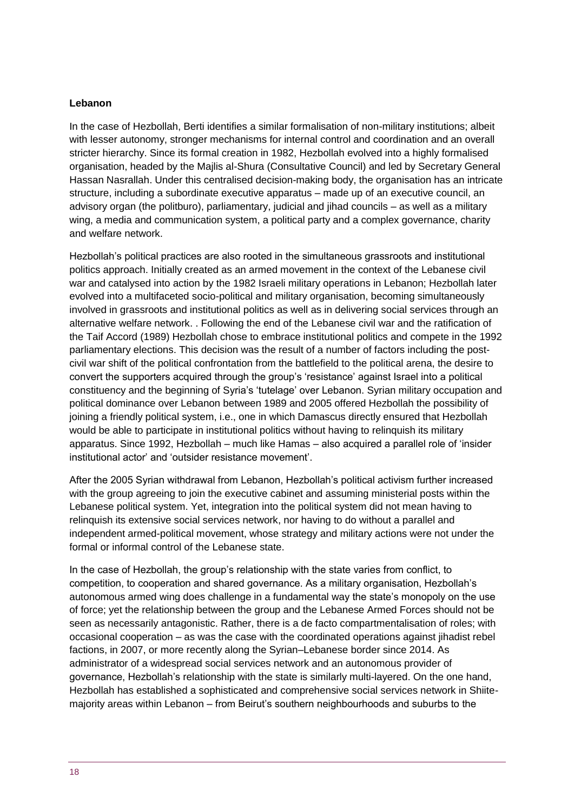#### **Lebanon**

In the case of Hezbollah, Berti identifies a similar formalisation of non-military institutions; albeit with lesser autonomy, stronger mechanisms for internal control and coordination and an overall stricter hierarchy. Since its formal creation in 1982, Hezbollah evolved into a highly formalised organisation, headed by the Majlis al-Shura (Consultative Council) and led by Secretary General Hassan Nasrallah. Under this centralised decision-making body, the organisation has an intricate structure, including a subordinate executive apparatus – made up of an executive council, an advisory organ (the politburo), parliamentary, judicial and jihad councils – as well as a military wing, a media and communication system, a political party and a complex governance, charity and welfare network.

Hezbollah's political practices are also rooted in the simultaneous grassroots and institutional politics approach. Initially created as an armed movement in the context of the Lebanese civil war and catalysed into action by the 1982 Israeli military operations in Lebanon; Hezbollah later evolved into a multifaceted socio-political and military organisation, becoming simultaneously involved in grassroots and institutional politics as well as in delivering social services through an alternative welfare network. . Following the end of the Lebanese civil war and the ratification of the Taif Accord (1989) Hezbollah chose to embrace institutional politics and compete in the 1992 parliamentary elections. This decision was the result of a number of factors including the postcivil war shift of the political confrontation from the battlefield to the political arena, the desire to convert the supporters acquired through the group's 'resistance' against Israel into a political constituency and the beginning of Syria's 'tutelage' over Lebanon. Syrian military occupation and political dominance over Lebanon between 1989 and 2005 offered Hezbollah the possibility of joining a friendly political system, i.e., one in which Damascus directly ensured that Hezbollah would be able to participate in institutional politics without having to relinquish its military apparatus. Since 1992, Hezbollah – much like Hamas – also acquired a parallel role of 'insider institutional actor' and 'outsider resistance movement'.

After the 2005 Syrian withdrawal from Lebanon, Hezbollah's political activism further increased with the group agreeing to join the executive cabinet and assuming ministerial posts within the Lebanese political system. Yet, integration into the political system did not mean having to relinquish its extensive social services network, nor having to do without a parallel and independent armed-political movement, whose strategy and military actions were not under the formal or informal control of the Lebanese state.

In the case of Hezbollah, the group's relationship with the state varies from conflict, to competition, to cooperation and shared governance. As a military organisation, Hezbollah's autonomous armed wing does challenge in a fundamental way the state's monopoly on the use of force; yet the relationship between the group and the Lebanese Armed Forces should not be seen as necessarily antagonistic. Rather, there is a de facto compartmentalisation of roles; with occasional cooperation – as was the case with the coordinated operations against jihadist rebel factions, in 2007, or more recently along the Syrian–Lebanese border since 2014. As administrator of a widespread social services network and an autonomous provider of governance, Hezbollah's relationship with the state is similarly multi-layered. On the one hand, Hezbollah has established a sophisticated and comprehensive social services network in Shiitemajority areas within Lebanon – from Beirut's southern neighbourhoods and suburbs to the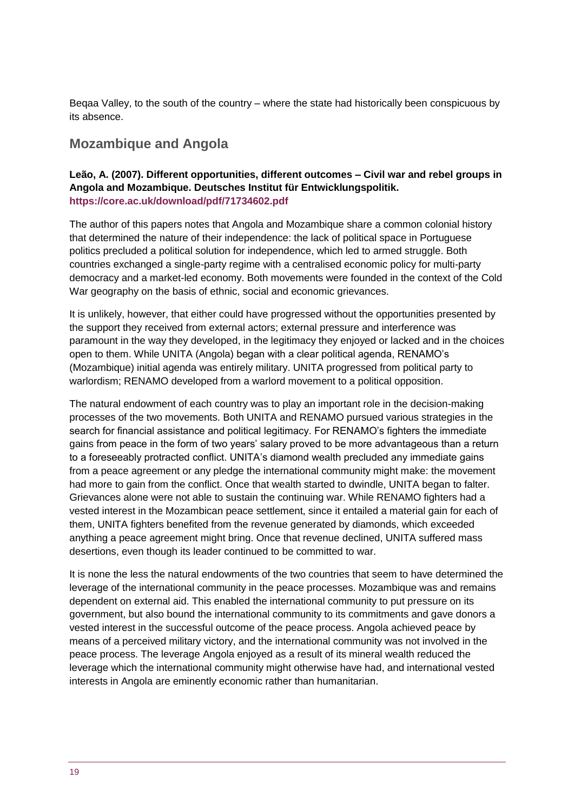Beqaa Valley, to the south of the country – where the state had historically been conspicuous by its absence.

### **Mozambique and Angola**

#### **Leão, A. (2007). Different opportunities, different outcomes – Civil war and rebel groups in Angola and Mozambique. Deutsches Institut für Entwicklungspolitik. <https://core.ac.uk/download/pdf/71734602.pdf>**

The author of this papers notes that Angola and Mozambique share a common colonial history that determined the nature of their independence: the lack of political space in Portuguese politics precluded a political solution for independence, which led to armed struggle. Both countries exchanged a single-party regime with a centralised economic policy for multi-party democracy and a market-led economy. Both movements were founded in the context of the Cold War geography on the basis of ethnic, social and economic grievances.

It is unlikely, however, that either could have progressed without the opportunities presented by the support they received from external actors; external pressure and interference was paramount in the way they developed, in the legitimacy they enjoyed or lacked and in the choices open to them. While UNITA (Angola) began with a clear political agenda, RENAMO's (Mozambique) initial agenda was entirely military. UNITA progressed from political party to warlordism; RENAMO developed from a warlord movement to a political opposition.

The natural endowment of each country was to play an important role in the decision-making processes of the two movements. Both UNITA and RENAMO pursued various strategies in the search for financial assistance and political legitimacy. For RENAMO's fighters the immediate gains from peace in the form of two years' salary proved to be more advantageous than a return to a foreseeably protracted conflict. UNITA's diamond wealth precluded any immediate gains from a peace agreement or any pledge the international community might make: the movement had more to gain from the conflict. Once that wealth started to dwindle, UNITA began to falter. Grievances alone were not able to sustain the continuing war. While RENAMO fighters had a vested interest in the Mozambican peace settlement, since it entailed a material gain for each of them, UNITA fighters benefited from the revenue generated by diamonds, which exceeded anything a peace agreement might bring. Once that revenue declined, UNITA suffered mass desertions, even though its leader continued to be committed to war.

It is none the less the natural endowments of the two countries that seem to have determined the leverage of the international community in the peace processes. Mozambique was and remains dependent on external aid. This enabled the international community to put pressure on its government, but also bound the international community to its commitments and gave donors a vested interest in the successful outcome of the peace process. Angola achieved peace by means of a perceived military victory, and the international community was not involved in the peace process. The leverage Angola enjoyed as a result of its mineral wealth reduced the leverage which the international community might otherwise have had, and international vested interests in Angola are eminently economic rather than humanitarian.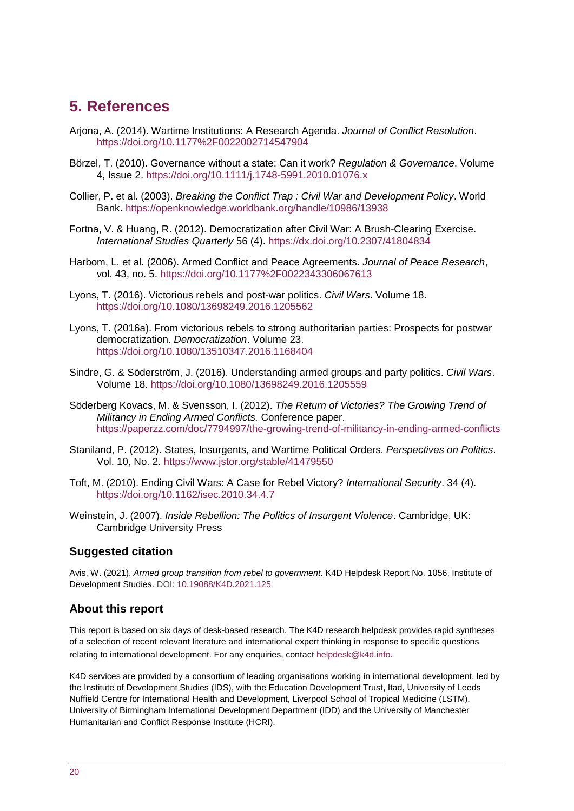# <span id="page-19-0"></span>**5. References**

- Arjona, A. (2014). Wartime Institutions: A Research Agenda. *Journal of Conflict Resolution*. <https://doi.org/10.1177%2F0022002714547904>
- Börzel, T. (2010). Governance without a state: Can it work? *Regulation & Governance*. Volume 4, Issue 2.<https://doi.org/10.1111/j.1748-5991.2010.01076.x>
- Collier, P. et al. (2003). *Breaking the Conflict Trap : Civil War and Development Policy*. World Bank.<https://openknowledge.worldbank.org/handle/10986/13938>
- Fortna, V. & Huang, R. (2012). Democratization after Civil War: A Brush-Clearing Exercise. *International Studies Quarterly* 56 (4).<https://dx.doi.org/10.2307/41804834>
- Harbom, L. et al. (2006). Armed Conflict and Peace Agreements. *Journal of Peace Research*, vol. 43, no. 5.<https://doi.org/10.1177%2F0022343306067613>
- Lyons, T. (2016). Victorious rebels and post-war politics. *Civil Wars*. Volume 18. <https://doi.org/10.1080/13698249.2016.1205562>
- Lyons, T. (2016a). From victorious rebels to strong authoritarian parties: Prospects for postwar democratization. *Democratization*. Volume 23. <https://doi.org/10.1080/13510347.2016.1168404>
- Sindre, G. & Söderström, J. (2016). Understanding armed groups and party politics. *Civil Wars*. Volume 18.<https://doi.org/10.1080/13698249.2016.1205559>
- Söderberg Kovacs, M. & Svensson, I. (2012). *The Return of Victories? The Growing Trend of Militancy in Ending Armed Conflicts.* Conference paper. <https://paperzz.com/doc/7794997/the-growing-trend-of-militancy-in-ending-armed-conflicts>
- Staniland, P. (2012). States, Insurgents, and Wartime Political Orders. *Perspectives on Politics*. Vol. 10, No. 2.<https://www.jstor.org/stable/41479550>
- Toft, M. (2010). Ending Civil Wars: A Case for Rebel Victory? *International Security*. 34 (4). <https://doi.org/10.1162/isec.2010.34.4.7>
- Weinstein, J. (2007). *Inside Rebellion: The Politics of Insurgent Violence*. Cambridge, UK: Cambridge University Press

#### **Suggested citation**

Avis, W. (2021). *Armed group transition from rebel to government.* K4D Helpdesk Report No. 1056. Institute of Development Studies. DOI: [10.19088/K4D.2021.125](https://doi.org/10.19088/K4D.2021.125)

#### **About this report**

This report is based on six days of desk-based research. The K4D research helpdesk provides rapid syntheses of a selection of recent relevant literature and international expert thinking in response to specific questions relating to international development. For any enquiries, contact [helpdesk@k4d.info](mailto:helpdesk@k4d.info).

K4D services are provided by a consortium of leading organisations working in international development, led by the Institute of Development Studies (IDS), with the Education Development Trust, Itad, University of Leeds Nuffield Centre for International Health and Development, Liverpool School of Tropical Medicine (LSTM), University of Birmingham International Development Department (IDD) and the University of Manchester Humanitarian and Conflict Response Institute (HCRI).